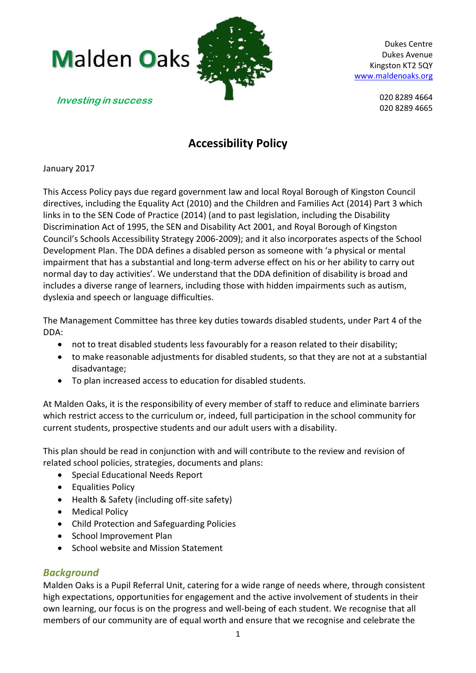

> 020 8289 4664 020 8289 4665

**Investing in success**

# **Accessibility Policy**

## January 2017

This Access Policy pays due regard government law and local Royal Borough of Kingston Council directives, including the Equality Act (2010) and the Children and Families Act (2014) Part 3 which links in to the SEN Code of Practice (2014) (and to past legislation, including the Disability Discrimination Act of 1995, the SEN and Disability Act 2001, and Royal Borough of Kingston Council's Schools Accessibility Strategy 2006-2009); and it also incorporates aspects of the School Development Plan. The DDA defines a disabled person as someone with 'a physical or mental impairment that has a substantial and long-term adverse effect on his or her ability to carry out normal day to day activities'. We understand that the DDA definition of disability is broad and includes a diverse range of learners, including those with hidden impairments such as autism, dyslexia and speech or language difficulties.

The Management Committee has three key duties towards disabled students, under Part 4 of the DDA:

- not to treat disabled students less favourably for a reason related to their disability;
- to make reasonable adjustments for disabled students, so that they are not at a substantial disadvantage;
- To plan increased access to education for disabled students.

At Malden Oaks, it is the responsibility of every member of staff to reduce and eliminate barriers which restrict access to the curriculum or, indeed, full participation in the school community for current students, prospective students and our adult users with a disability.

This plan should be read in conjunction with and will contribute to the review and revision of related school policies, strategies, documents and plans:

- Special Educational Needs Report
- Equalities Policy
- Health & Safety (including off-site safety)
- Medical Policy
- Child Protection and Safeguarding Policies
- School Improvement Plan
- School website and Mission Statement

## *Background*

Malden Oaks is a Pupil Referral Unit, catering for a wide range of needs where, through consistent high expectations, opportunities for engagement and the active involvement of students in their own learning, our focus is on the progress and well-being of each student. We recognise that all members of our community are of equal worth and ensure that we recognise and celebrate the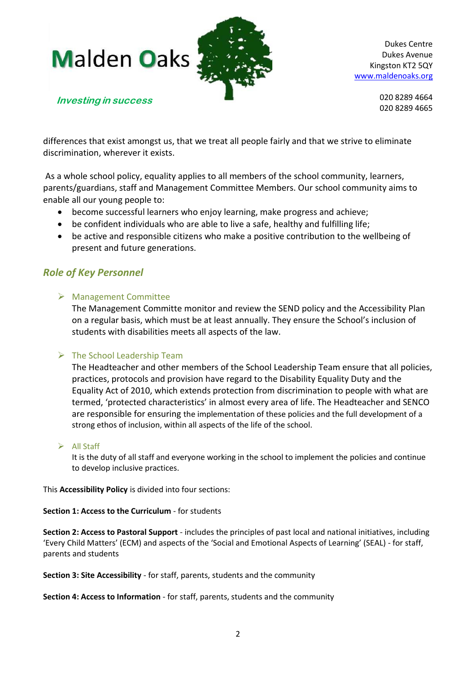**Malden Oaks** 



**Investing in success**

Dukes Centre Dukes Avenue Kingston KT2 5QY [www.maldenoaks.org](http://www.maldenoaks.org/)

> 020 8289 4664 020 8289 4665

differences that exist amongst us, that we treat all people fairly and that we strive to eliminate discrimination, wherever it exists.

As a whole school policy, equality applies to all members of the school community, learners, parents/guardians, staff and Management Committee Members. Our school community aims to enable all our young people to:

- become successful learners who enjoy learning, make progress and achieve;
- be confident individuals who are able to live a safe, healthy and fulfilling life;
- be active and responsible citizens who make a positive contribution to the wellbeing of present and future generations.

## *Role of Key Personnel*

## Management Committee

The Management Committe monitor and review the SEND policy and the Accessibility Plan on a regular basis, which must be at least annually. They ensure the School's inclusion of students with disabilities meets all aspects of the law.

## $\triangleright$  The School Leadership Team

The Headteacher and other members of the School Leadership Team ensure that all policies, practices, protocols and provision have regard to the Disability Equality Duty and the Equality Act of 2010, which extends protection from discrimination to people with what are termed, 'protected characteristics' in almost every area of life. The Headteacher and SENCO are responsible for ensuring the implementation of these policies and the full development of a strong ethos of inclusion, within all aspects of the life of the school.

## $\triangleright$  All Staff

It is the duty of all staff and everyone working in the school to implement the policies and continue to develop inclusive practices.

This **Accessibility Policy** is divided into four sections:

## **Section 1: Access to the Curriculum** - for students

**Section 2: Access to Pastoral Support** - includes the principles of past local and national initiatives, including 'Every Child Matters' (ECM) and aspects of the 'Social and Emotional Aspects of Learning' (SEAL) - for staff, parents and students

**Section 3: Site Accessibility** - for staff, parents, students and the community

**Section 4: Access to Information** - for staff, parents, students and the community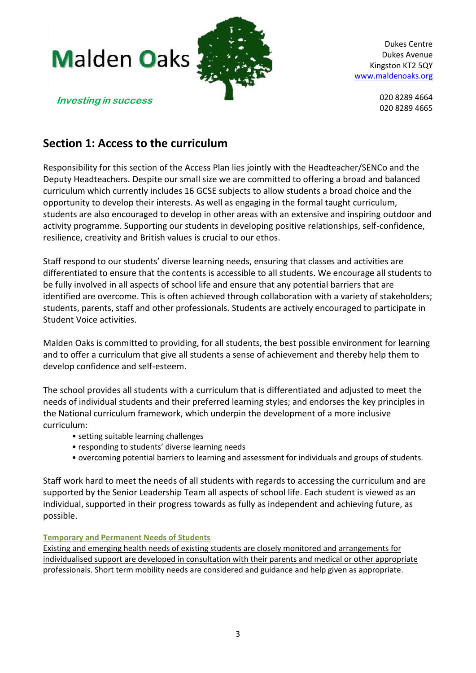

> 020 8289 4664 020 8289 4665

**Investing in success**

## **Section 1: Access to the curriculum**

Responsibility for this section of the Access Plan lies jointly with the Headteacher/SENCo and the Deputy Headteachers. Despite our small size we are committed to offering a broad and balanced curriculum which currently includes 16 GCSE subjects to allow students a broad choice and the opportunity to develop their interests. As well as engaging in the formal taught curriculum, students are also encouraged to develop in other areas with an extensive and inspiring [outdoor](http://maldenoaks.org/curriculum/) and activity [programme.](http://maldenoaks.org/curriculum/) Supporting our students in developing positive relationships, self-confidence, resilience, creativity and [British](http://maldenoaks.org/wp-content/uploads/2015/07/British-values.pptx) values is crucial to our ethos.

Staff respond to our students' diverse learning needs, ensuring that classes and activities are differentiated to ensure that the contents is accessible to all students. We encourage all students to be fully involved in all aspects of school life and ensure that any potential barriers that are identified are overcome. This is often achieved through collaboration with a variety of stakeholders; students, parents, staff and other professionals. Students are actively encouraged to participate in Student Voice activities.

Malden Oaks is committed to providing, for all students, the best possible environment for learning and to offer a curriculum that give all students a sense of achievement and thereby help them to develop confidence and self-esteem.

The school provides all students with a curriculum that is differentiated and adjusted to meet the needs of individual students and their preferred learning styles; and endorses the key principles in the National curriculum framework, which underpin the development of a more inclusive curriculum:

- setting suitable learning challenges
- responding to students' diverse learning needs
- overcoming potential barriers to learning and assessment for individuals and groups of students.

Staff work hard to meet the needs of all students with regards to accessing the curriculum and are supported by the Senior Leadership Team all aspects of school life. Each student is viewed as an individual, supported in their progress towards as fully as independent and achieving future, as possible.

## **Temporary and Permanent Needs of Students**

Existing and emerging health needs of existing students are closely monitored and arrangements for individualised support are developed in consultation with their parents and medical or other appropriate professionals. Short term mobility needs are considered and guidance and help given as appropriate.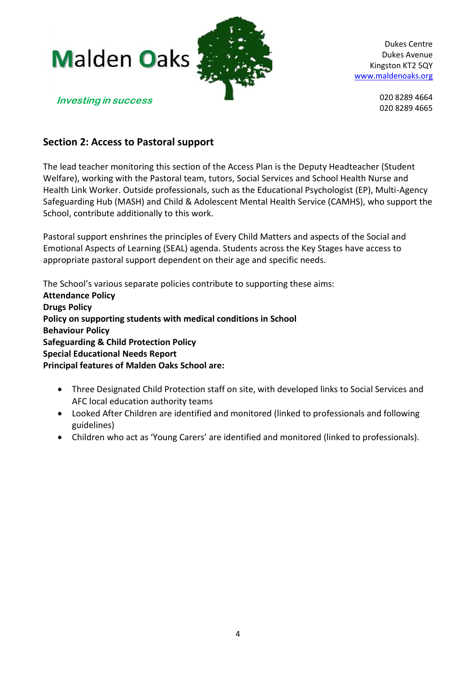

> 020 8289 4664 020 8289 4665

## **Section 2: Access to Pastoral support**

The lead teacher monitoring this section of the Access Plan is the Deputy Headteacher (Student Welfare), working with the Pastoral team, tutors, Social Services and School Health Nurse and Health Link Worker. Outside professionals, such as the Educational Psychologist (EP), Multi-Agency Safeguarding Hub (MASH) and Child & Adolescent Mental Health Service (CAMHS), who support the School, contribute additionally to this work.

Pastoral support enshrines the principles of Every Child Matters and aspects of the Social and Emotional Aspects of Learning (SEAL) agenda. Students across the Key Stages have access to appropriate pastoral support dependent on their age and specific needs.

The School's various separate policies contribute to supporting these aims:

**Attendance Policy Drugs Policy Policy on supporting students with medical conditions in School Behaviour Policy Safeguarding & Child Protection Policy Special Educational Needs Report Principal features of Malden Oaks School are:** 

- Three Designated Child Protection staff on site, with developed links to Social Services and AFC local education authority teams
- Looked After Children are identified and monitored (linked to professionals and following guidelines)
- Children who act as 'Young Carers' are identified and monitored (linked to professionals).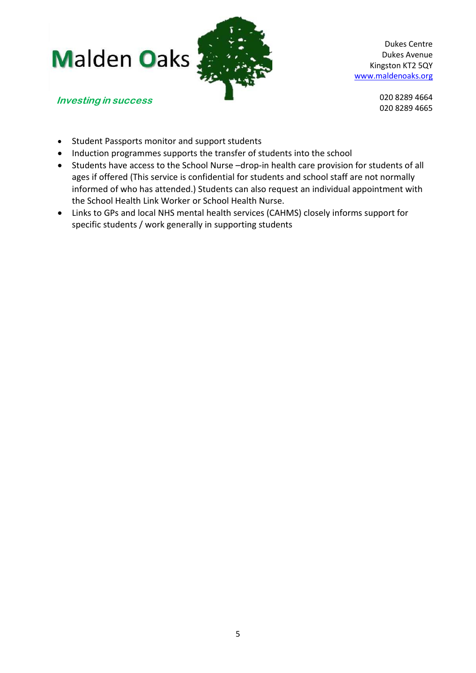



**Investing in success**

020 8289 4664 020 8289 4665

- Student Passports monitor and support students
- Induction programmes supports the transfer of students into the school
- Students have access to the School Nurse –drop-in health care provision for students of all ages if offered (This service is confidential for students and school staff are not normally informed of who has attended.) Students can also request an individual appointment with the School Health Link Worker or School Health Nurse.
- Links to GPs and local NHS mental health services (CAHMS) closely informs support for specific students / work generally in supporting students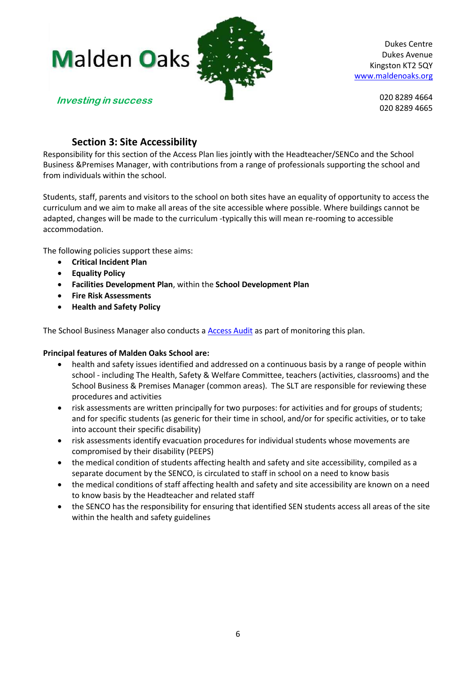

> 020 8289 4664 020 8289 4665

## **Section 3: Site Accessibility**

Responsibility for this section of the Access Plan lies jointly with the Headteacher/SENCo and the School Business &Premises Manager, with contributions from a range of professionals supporting the school and from individuals within the school.

Students, staff, parents and visitors to the school on both sites have an equality of opportunity to access the curriculum and we aim to make all areas of the site accessible where possible. Where buildings cannot be adapted, changes will be made to the curriculum -typically this will mean re-rooming to accessible accommodation.

The following policies support these aims:

- **Critical Incident Plan**
- **Equality Policy**
- **Facilities Development Plan**, within the **School Development Plan**
- **Fire Risk Assessments**
- **Health and Safety Policy**

The School Business Manager also conducts a [Access Audit](file:///C:/Users/stao/AppData/Local/Microsoft/Windows/Temporary%20Internet%20Files/Content.Outlook/5352I26L/Access%20Audit%20DRAFT%202017.docx) as part of monitoring this plan.

## **Principal features of Malden Oaks School are:**

- health and safety issues identified and addressed on a continuous basis by a range of people within school - including The Health, Safety & Welfare Committee, teachers (activities, classrooms) and the School Business & Premises Manager (common areas). The SLT are responsible for reviewing these procedures and activities
- risk assessments are written principally for two purposes: for activities and for groups of students; and for specific students (as generic for their time in school, and/or for specific activities, or to take into account their specific disability)
- risk assessments identify evacuation procedures for individual students whose movements are compromised by their disability (PEEPS)
- the medical condition of students affecting health and safety and site accessibility, compiled as a separate document by the SENCO, is circulated to staff in school on a need to know basis
- the medical conditions of staff affecting health and safety and site accessibility are known on a need to know basis by the Headteacher and related staff
- the SENCO has the responsibility for ensuring that identified SEN students access all areas of the site within the health and safety guidelines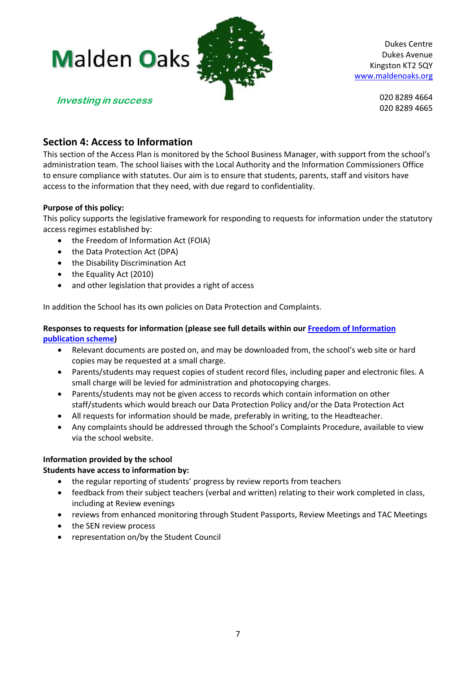

> 020 8289 4664 020 8289 4665

## **Investing in success**

**Section 4: Access to Information** 

This section of the Access Plan is monitored by the School Business Manager, with support from the school's administration team. The school liaises with the Local Authority and the Information Commissioners Office to ensure compliance with statutes. Our aim is to ensure that students, parents, staff and visitors have access to the information that they need, with due regard to confidentiality.

## **Purpose of this policy:**

This policy supports the legislative framework for responding to requests for information under the statutory access regimes established by:

- the Freedom of Information Act (FOIA)
- the Data Protection Act (DPA)
- the Disability Discrimination Act
- the Equality Act (2010)
- and other legislation that provides a right of access

In addition the School has its own policies on Data Protection and Complaints.

## **Responses to requests for information (please see full details within our [Freedom of Information](http://maldenoaks.org/wp-content/uploads/2014/08/Freedom-Of-Information-2016-AGREED.pdf)  [publication scheme\)](http://maldenoaks.org/wp-content/uploads/2014/08/Freedom-Of-Information-2016-AGREED.pdf)**

- Relevant documents are posted on, and may be downloaded from, the school's web site or hard copies may be requested at a small charge.
- Parents/students may request copies of student record files, including paper and electronic files. A small charge will be levied for administration and photocopying charges.
- Parents/students may not be given access to records which contain information on other staff/students which would breach our Data Protection Policy and/or the Data Protection Act
- All requests for information should be made, preferably in writing, to the Headteacher.
- Any complaints should be addressed through the School's Complaints Procedure, available to view via the school website.

## **Information provided by the school**

## **Students have access to information by:**

- the regular reporting of students' progress by review reports from teachers
- feedback from their subject teachers (verbal and written) relating to their work completed in class, including at Review evenings
- reviews from enhanced monitoring through Student Passports, Review Meetings and TAC Meetings
- the SEN review process
- representation on/by the Student Council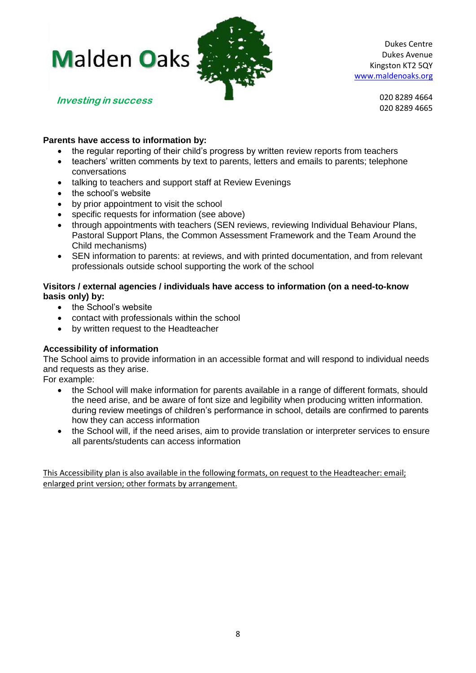# **Malden Oaks**



Dukes Centre Dukes Avenue Kingston KT2 5QY [www.maldenoaks.org](http://www.maldenoaks.org/)

**Investing in success**

020 8289 4664 020 8289 4665

## **Parents have access to information by:**

- the regular reporting of their child's progress by written review reports from teachers
- teachers' written comments by text to parents, letters and emails to parents; telephone conversations
- talking to teachers and support staff at Review Evenings
- the school's website
- by prior appointment to visit the school
- specific requests for information (see above)
- through appointments with teachers (SEN reviews, reviewing Individual Behaviour Plans, Pastoral Support Plans, the Common Assessment Framework and the Team Around the Child mechanisms)
- SEN information to parents: at reviews, and with printed documentation, and from relevant professionals outside school supporting the work of the school

## **Visitors / external agencies / individuals have access to information (on a need-to-know basis only) by:**

- the School's website
- contact with professionals within the school
- by written request to the Headteacher

## **Accessibility of information**

The School aims to provide information in an accessible format and will respond to individual needs and requests as they arise.

For example:

- the School will make information for parents available in a range of different formats, should the need arise, and be aware of font size and legibility when producing written information. during review meetings of children's performance in school, details are confirmed to parents how they can access information
- the School will, if the need arises, aim to provide translation or interpreter services to ensure all parents/students can access information

This Accessibility plan is also available in the following formats, on request to the Headteacher: email; enlarged print version; other formats by arrangement.